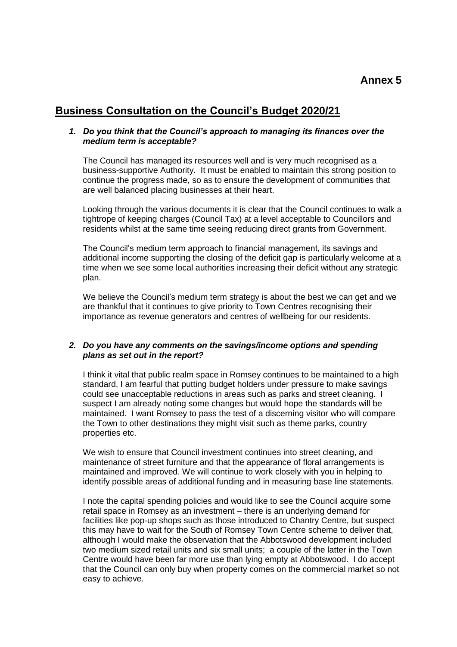## **Business Consultation on the Council's Budget 2020/21**

## *1. Do you think that the Council's approach to managing its finances over the medium term is acceptable?*

The Council has managed its resources well and is very much recognised as a business-supportive Authority. It must be enabled to maintain this strong position to continue the progress made, so as to ensure the development of communities that are well balanced placing businesses at their heart.

Looking through the various documents it is clear that the Council continues to walk a tightrope of keeping charges (Council Tax) at a level acceptable to Councillors and residents whilst at the same time seeing reducing direct grants from Government.

The Council's medium term approach to financial management, its savings and additional income supporting the closing of the deficit gap is particularly welcome at a time when we see some local authorities increasing their deficit without any strategic plan.

We believe the Council's medium term strategy is about the best we can get and we are thankful that it continues to give priority to Town Centres recognising their importance as revenue generators and centres of wellbeing for our residents.

## *2. Do you have any comments on the savings/income options and spending plans as set out in the report?*

I think it vital that public realm space in Romsey continues to be maintained to a high standard, I am fearful that putting budget holders under pressure to make savings could see unacceptable reductions in areas such as parks and street cleaning. I suspect I am already noting some changes but would hope the standards will be maintained. I want Romsey to pass the test of a discerning visitor who will compare the Town to other destinations they might visit such as theme parks, country properties etc.

We wish to ensure that Council investment continues into street cleaning, and maintenance of street furniture and that the appearance of floral arrangements is maintained and improved. We will continue to work closely with you in helping to identify possible areas of additional funding and in measuring base line statements.

I note the capital spending policies and would like to see the Council acquire some retail space in Romsey as an investment – there is an underlying demand for facilities like pop-up shops such as those introduced to Chantry Centre, but suspect this may have to wait for the South of Romsey Town Centre scheme to deliver that, although I would make the observation that the Abbotswood development included two medium sized retail units and six small units; a couple of the latter in the Town Centre would have been far more use than lying empty at Abbotswood. I do accept that the Council can only buy when property comes on the commercial market so not easy to achieve.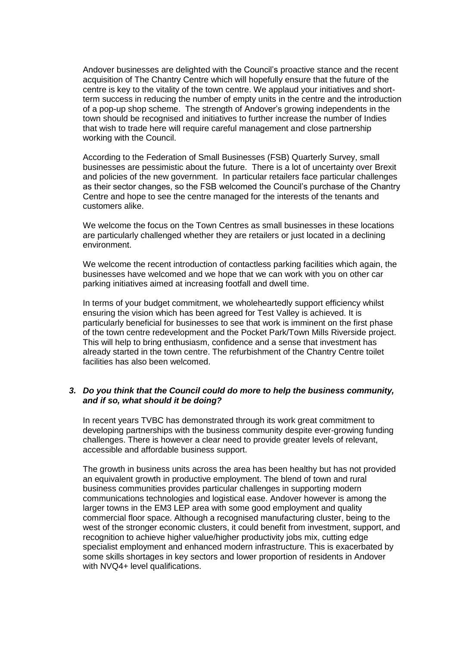Andover businesses are delighted with the Council's proactive stance and the recent acquisition of The Chantry Centre which will hopefully ensure that the future of the centre is key to the vitality of the town centre. We applaud your initiatives and shortterm success in reducing the number of empty units in the centre and the introduction of a pop-up shop scheme. The strength of Andover's growing independents in the town should be recognised and initiatives to further increase the number of Indies that wish to trade here will require careful management and close partnership working with the Council.

According to the Federation of Small Businesses (FSB) Quarterly Survey, small businesses are pessimistic about the future. There is a lot of uncertainty over Brexit and policies of the new government. In particular retailers face particular challenges as their sector changes, so the FSB welcomed the Council's purchase of the Chantry Centre and hope to see the centre managed for the interests of the tenants and customers alike.

We welcome the focus on the Town Centres as small businesses in these locations are particularly challenged whether they are retailers or just located in a declining environment.

We welcome the recent introduction of contactless parking facilities which again, the businesses have welcomed and we hope that we can work with you on other car parking initiatives aimed at increasing footfall and dwell time.

In terms of your budget commitment, we wholeheartedly support efficiency whilst ensuring the vision which has been agreed for Test Valley is achieved. It is particularly beneficial for businesses to see that work is imminent on the first phase of the town centre redevelopment and the Pocket Park/Town Mills Riverside project. This will help to bring enthusiasm, confidence and a sense that investment has already started in the town centre. The refurbishment of the Chantry Centre toilet facilities has also been welcomed.

## *3. Do you think that the Council could do more to help the business community, and if so, what should it be doing?*

In recent years TVBC has demonstrated through its work great commitment to developing partnerships with the business community despite ever-growing funding challenges. There is however a clear need to provide greater levels of relevant, accessible and affordable business support.

The growth in business units across the area has been healthy but has not provided an equivalent growth in productive employment. The blend of town and rural business communities provides particular challenges in supporting modern communications technologies and logistical ease. Andover however is among the larger towns in the EM3 LEP area with some good employment and quality commercial floor space. Although a recognised manufacturing cluster, being to the west of the stronger economic clusters, it could benefit from investment, support, and recognition to achieve higher value/higher productivity jobs mix, cutting edge specialist employment and enhanced modern infrastructure. This is exacerbated by some skills shortages in key sectors and lower proportion of residents in Andover with NVQ4+ level qualifications.